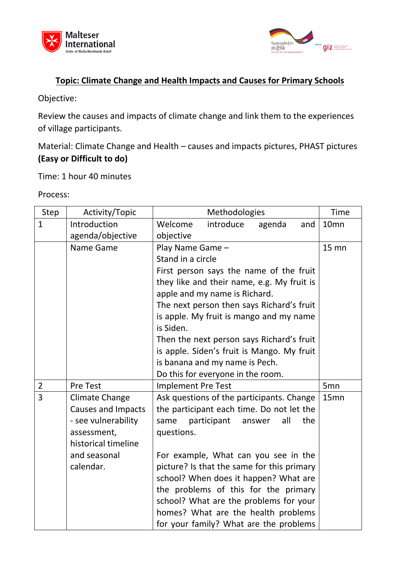



# **Topic: Climate Change and Health Impacts and Causes for Primary Schools**

Objective:

Review the causes and impacts of climate change and link them to the experiences of village participants.

Material: Climate Change and Health – causes and impacts pictures, PHAST pictures **(Easy or Difficult to do)**

Time: 1 hour 40 minutes

| Step           | Activity/Topic            |                           | Methodologies                              |               |     | <b>Time</b>      |
|----------------|---------------------------|---------------------------|--------------------------------------------|---------------|-----|------------------|
| $\mathbf{1}$   | Introduction              | Welcome                   | introduce                                  | agenda        | and | 10 <sub>mn</sub> |
|                | agenda/objective          | objective                 |                                            |               |     |                  |
|                | Name Game                 | Play Name Game -          |                                            |               |     | <b>15 mn</b>     |
|                |                           | Stand in a circle         |                                            |               |     |                  |
|                |                           |                           | First person says the name of the fruit    |               |     |                  |
|                |                           |                           | they like and their name, e.g. My fruit is |               |     |                  |
|                |                           |                           | apple and my name is Richard.              |               |     |                  |
|                |                           |                           | The next person then says Richard's fruit  |               |     |                  |
|                |                           |                           | is apple. My fruit is mango and my name    |               |     |                  |
|                |                           | is Siden.                 |                                            |               |     |                  |
|                |                           |                           | Then the next person says Richard's fruit  |               |     |                  |
|                |                           |                           | is apple. Siden's fruit is Mango. My fruit |               |     |                  |
|                |                           |                           | is banana and my name is Pech.             |               |     |                  |
|                |                           |                           | Do this for everyone in the room.          |               |     |                  |
| $\overline{2}$ | <b>Pre Test</b>           | <b>Implement Pre Test</b> |                                            |               |     | 5 <sub>mn</sub>  |
| $\overline{3}$ | <b>Climate Change</b>     |                           | Ask questions of the participants. Change  |               |     | 15mn             |
|                | <b>Causes and Impacts</b> |                           | the participant each time. Do not let the  |               |     |                  |
|                | - see vulnerability       | same                      | participant                                | all<br>answer | the |                  |
|                | assessment,               | questions.                |                                            |               |     |                  |
|                | historical timeline       |                           |                                            |               |     |                  |
|                | and seasonal              |                           | For example, What can you see in the       |               |     |                  |
|                | calendar.                 |                           | picture? Is that the same for this primary |               |     |                  |
|                |                           |                           | school? When does it happen? What are      |               |     |                  |
|                |                           |                           | the problems of this for the primary       |               |     |                  |
|                |                           |                           | school? What are the problems for your     |               |     |                  |
|                |                           |                           | homes? What are the health problems        |               |     |                  |
|                |                           |                           | for your family? What are the problems     |               |     |                  |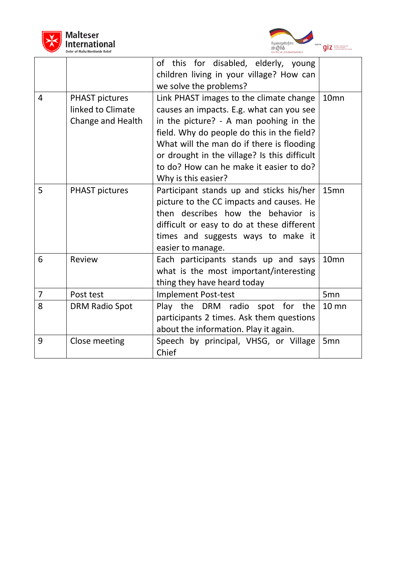



|                |                                                                 | <b>DEUTSCHE ZUSAMMENARBEIT</b>                                                                                                                                                                                                                                                                                                             |                  |
|----------------|-----------------------------------------------------------------|--------------------------------------------------------------------------------------------------------------------------------------------------------------------------------------------------------------------------------------------------------------------------------------------------------------------------------------------|------------------|
|                |                                                                 | of this for disabled, elderly, young<br>children living in your village? How can<br>we solve the problems?                                                                                                                                                                                                                                 |                  |
| $\overline{4}$ | <b>PHAST pictures</b><br>linked to Climate<br>Change and Health | Link PHAST images to the climate change<br>causes an impacts. E.g. what can you see<br>in the picture? - A man poohing in the<br>field. Why do people do this in the field?<br>What will the man do if there is flooding<br>or drought in the village? Is this difficult<br>to do? How can he make it easier to do?<br>Why is this easier? | 10 <sub>mn</sub> |
| 5              | <b>PHAST pictures</b>                                           | Participant stands up and sticks his/her<br>picture to the CC impacts and causes. He<br>then describes how the behavior is<br>difficult or easy to do at these different<br>times and suggests ways to make it<br>easier to manage.                                                                                                        | 15mn             |
| 6              | Review                                                          | Each participants stands up and says<br>what is the most important/interesting<br>thing they have heard today                                                                                                                                                                                                                              | 10mn             |
| 7              | Post test                                                       | Implement Post-test                                                                                                                                                                                                                                                                                                                        | 5 <sub>mn</sub>  |
| 8              | DRM Radio Spot                                                  | Play the DRM radio spot for<br>the<br>participants 2 times. Ask them questions<br>about the information. Play it again.                                                                                                                                                                                                                    | $10 \text{ mm}$  |
| 9              | Close meeting                                                   | Speech by principal, VHSG, or Village<br>Chief                                                                                                                                                                                                                                                                                             | 5 <sub>mn</sub>  |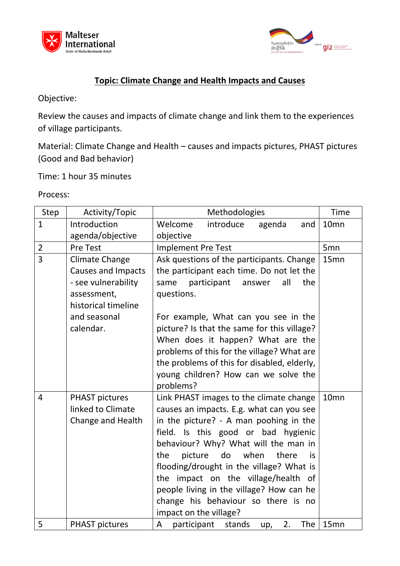



## **Topic: Climate Change and Health Impacts and Causes**

Objective:

Review the causes and impacts of climate change and link them to the experiences of village participants.

Material: Climate Change and Health – causes and impacts pictures, PHAST pictures (Good and Bad behavior)

Time: 1 hour 35 minutes

| <b>Step</b>    | Activity/Topic                                                                                                                               | Methodologies                                                                                                                                                                                                                                                                                                                                                                                                                                                   | <b>Time</b>      |
|----------------|----------------------------------------------------------------------------------------------------------------------------------------------|-----------------------------------------------------------------------------------------------------------------------------------------------------------------------------------------------------------------------------------------------------------------------------------------------------------------------------------------------------------------------------------------------------------------------------------------------------------------|------------------|
| $\mathbf{1}$   | Introduction                                                                                                                                 | introduce<br>Welcome<br>agenda<br>and                                                                                                                                                                                                                                                                                                                                                                                                                           | 10 <sub>mn</sub> |
|                | agenda/objective                                                                                                                             | objective                                                                                                                                                                                                                                                                                                                                                                                                                                                       |                  |
| $\overline{2}$ | <b>Pre Test</b>                                                                                                                              | <b>Implement Pre Test</b>                                                                                                                                                                                                                                                                                                                                                                                                                                       | 5 <sub>mn</sub>  |
| 3              | <b>Climate Change</b><br><b>Causes and Impacts</b><br>- see vulnerability<br>assessment,<br>historical timeline<br>and seasonal<br>calendar. | Ask questions of the participants. Change<br>the participant each time. Do not let the<br>participant<br>all<br>same<br>answer<br>the<br>questions.<br>For example, What can you see in the<br>picture? Is that the same for this village?<br>When does it happen? What are the<br>problems of this for the village? What are<br>the problems of this for disabled, elderly,<br>young children? How can we solve the<br>problems?                               | 15 <sub>mn</sub> |
| 4              | <b>PHAST pictures</b><br>linked to Climate<br>Change and Health                                                                              | Link PHAST images to the climate change<br>causes an impacts. E.g. what can you see<br>in the picture? - A man poohing in the<br>field. Is this good or bad hygienic<br>behaviour? Why? What will the man in<br>picture<br>do<br>when<br>the<br>there<br>is.<br>flooding/drought in the village? What is<br>impact on the village/health of<br>the<br>people living in the village? How can he<br>change his behaviour so there is no<br>impact on the village? | 10 <sub>mn</sub> |
| 5              | <b>PHAST pictures</b>                                                                                                                        | A<br>participant<br>The<br>stands<br>2.<br>up,                                                                                                                                                                                                                                                                                                                                                                                                                  | 15mn             |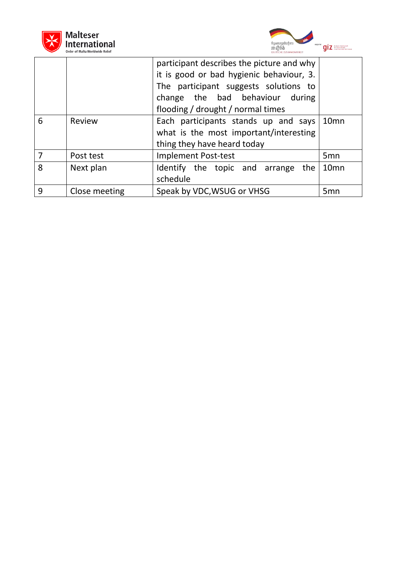



|   | urger of maita worldwide Keile |                                           |                  |
|---|--------------------------------|-------------------------------------------|------------------|
|   |                                | participant describes the picture and why |                  |
|   |                                | it is good or bad hygienic behaviour, 3.  |                  |
|   |                                | The participant suggests solutions to     |                  |
|   |                                | change the bad behaviour during           |                  |
|   |                                | flooding / drought / normal times         |                  |
| 6 | Review                         | Each participants stands up and says      | 10 <sub>mn</sub> |
|   |                                | what is the most important/interesting    |                  |
|   |                                | thing they have heard today               |                  |
|   | Post test                      | <b>Implement Post-test</b>                | 5 <sub>mn</sub>  |
| 8 | Next plan                      | Identify the topic and arrange the        | 10 <sub>mn</sub> |
|   |                                | schedule                                  |                  |
| 9 | Close meeting                  | Speak by VDC, WSUG or VHSG                | 5mn              |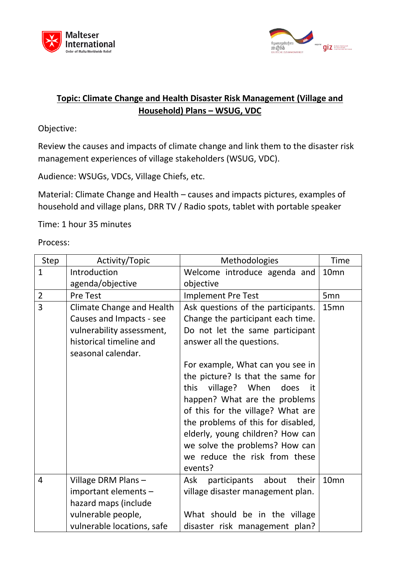



## **Topic: Climate Change and Health Disaster Risk Management (Village and Household) Plans – WSUG, VDC**

Objective:

Review the causes and impacts of climate change and link them to the disaster risk management experiences of village stakeholders (WSUG, VDC).

Audience: WSUGs, VDCs, Village Chiefs, etc.

Material: Climate Change and Health – causes and impacts pictures, examples of household and village plans, DRR TV / Radio spots, tablet with portable speaker

Time: 1 hour 35 minutes

| Step           | Activity/Topic                   | <b>Methodologies</b>                  | <b>Time</b>      |
|----------------|----------------------------------|---------------------------------------|------------------|
| $\mathbf{1}$   | Introduction                     | Welcome introduce agenda and          | 10 <sub>mn</sub> |
|                | agenda/objective                 | objective                             |                  |
| $\overline{2}$ | <b>Pre Test</b>                  | <b>Implement Pre Test</b>             | 5 <sub>mn</sub>  |
| $\overline{3}$ | <b>Climate Change and Health</b> | Ask questions of the participants.    | 15 <sub>mn</sub> |
|                | Causes and Impacts - see         | Change the participant each time.     |                  |
|                | vulnerability assessment,        | Do not let the same participant       |                  |
|                | historical timeline and          | answer all the questions.             |                  |
|                | seasonal calendar.               |                                       |                  |
|                |                                  | For example, What can you see in      |                  |
|                |                                  | the picture? Is that the same for     |                  |
|                |                                  | this village? When<br>does<br>it      |                  |
|                |                                  | happen? What are the problems         |                  |
|                |                                  | of this for the village? What are     |                  |
|                |                                  | the problems of this for disabled,    |                  |
|                |                                  | elderly, young children? How can      |                  |
|                |                                  | we solve the problems? How can        |                  |
|                |                                  | we reduce the risk from these         |                  |
|                |                                  | events?                               |                  |
| $\overline{4}$ | Village DRM Plans-               | about<br>Ask<br>participants<br>their | 10 <sub>mn</sub> |
|                | important elements -             | village disaster management plan.     |                  |
|                | hazard maps (include             |                                       |                  |
|                | vulnerable people,               | What should be in the village         |                  |
|                | vulnerable locations, safe       | disaster risk management plan?        |                  |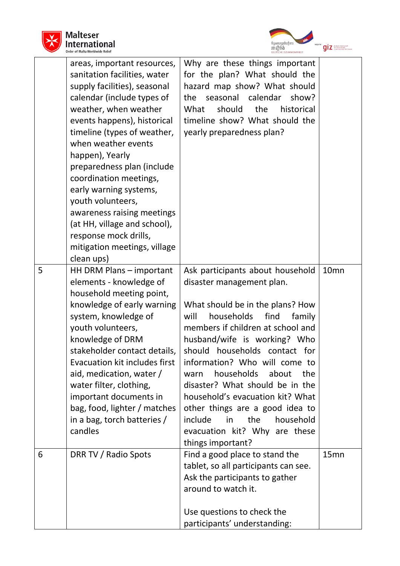



|   |                                                                                                                                                                                                                                                                                                                                                                                                                                                                                                        | DEUTSCHE ZUSAMMENARBEIT                                                                                                                                                                                                                                                                                                                                                                                                                                                                                                  |                  |
|---|--------------------------------------------------------------------------------------------------------------------------------------------------------------------------------------------------------------------------------------------------------------------------------------------------------------------------------------------------------------------------------------------------------------------------------------------------------------------------------------------------------|--------------------------------------------------------------------------------------------------------------------------------------------------------------------------------------------------------------------------------------------------------------------------------------------------------------------------------------------------------------------------------------------------------------------------------------------------------------------------------------------------------------------------|------------------|
|   | areas, important resources,<br>sanitation facilities, water<br>supply facilities), seasonal<br>calendar (include types of<br>weather, when weather<br>events happens), historical<br>timeline (types of weather,<br>when weather events<br>happen), Yearly<br>preparedness plan (include<br>coordination meetings,<br>early warning systems,<br>youth volunteers,<br>awareness raising meetings<br>(at HH, village and school),<br>response mock drills,<br>mitigation meetings, village<br>clean ups) | Why are these things important<br>for the plan? What should the<br>hazard map show? What should<br>seasonal<br>calendar<br>the<br>show?<br>What<br>should<br>the<br>historical<br>timeline show? What should the<br>yearly preparedness plan?                                                                                                                                                                                                                                                                            |                  |
| 5 | HH DRM Plans - important<br>elements - knowledge of<br>household meeting point,<br>knowledge of early warning<br>system, knowledge of<br>youth volunteers,<br>knowledge of DRM<br>stakeholder contact details<br>Evacuation kit includes first<br>aid, medication, water /<br>water filter, clothing,<br>important documents in<br>bag, food, lighter / matches<br>in a bag, torch batteries /<br>candles                                                                                              | Ask participants about household<br>disaster management plan.<br>What should be in the plans? How<br>households<br>find<br>will<br>family<br>members if children at school and<br>husband/wife is working? Who<br>should households contact for<br>information? Who will come to<br>households about<br>the<br>warn<br>disaster? What should be in the<br>household's evacuation kit? What<br>other things are a good idea to<br>include<br>in<br>the<br>household<br>evacuation kit? Why are these<br>things important? | 10 <sub>mn</sub> |
| 6 | DRR TV / Radio Spots                                                                                                                                                                                                                                                                                                                                                                                                                                                                                   | Find a good place to stand the<br>tablet, so all participants can see.<br>Ask the participants to gather<br>around to watch it.<br>Use questions to check the<br>participants' understanding:                                                                                                                                                                                                                                                                                                                            | 15mn             |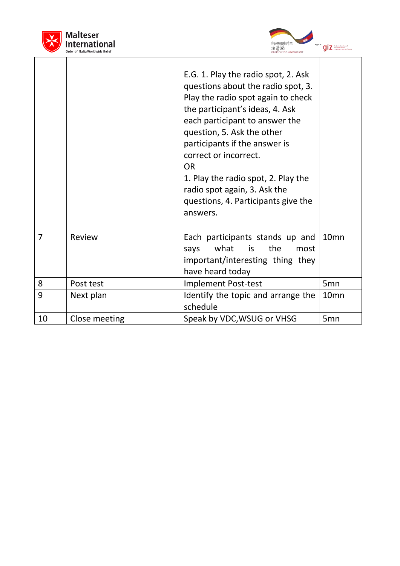

 $\overline{a}$ 



|                |               | E.G. 1. Play the radio spot, 2. Ask<br>questions about the radio spot, 3.<br>Play the radio spot again to check<br>the participant's ideas, 4. Ask<br>each participant to answer the<br>question, 5. Ask the other<br>participants if the answer is<br>correct or incorrect.<br><b>OR</b><br>1. Play the radio spot, 2. Play the<br>radio spot again, 3. Ask the<br>questions, 4. Participants give the<br>answers. |                  |
|----------------|---------------|---------------------------------------------------------------------------------------------------------------------------------------------------------------------------------------------------------------------------------------------------------------------------------------------------------------------------------------------------------------------------------------------------------------------|------------------|
| $\overline{7}$ | Review        | Each participants stands up and<br>what<br>is<br>the<br>says<br>most<br>important/interesting thing they<br>have heard today                                                                                                                                                                                                                                                                                        | 10 <sub>mn</sub> |
| 8              | Post test     | <b>Implement Post-test</b>                                                                                                                                                                                                                                                                                                                                                                                          | 5 <sub>mn</sub>  |
| 9              | Next plan     | Identify the topic and arrange the<br>schedule                                                                                                                                                                                                                                                                                                                                                                      | 10 <sub>mn</sub> |
| 10             | Close meeting | Speak by VDC, WSUG or VHSG                                                                                                                                                                                                                                                                                                                                                                                          | 5 <sub>mn</sub>  |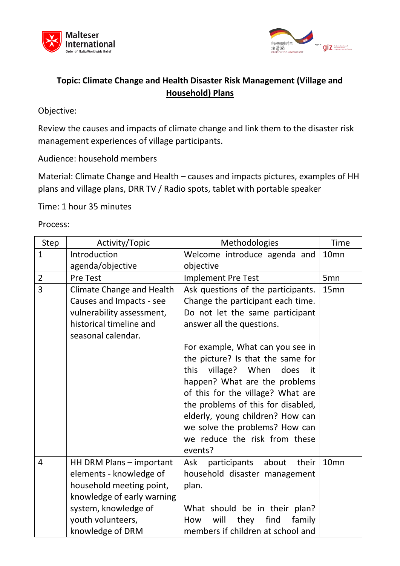



# **Topic: Climate Change and Health Disaster Risk Management (Village and Household) Plans**

Objective:

Review the causes and impacts of climate change and link them to the disaster risk management experiences of village participants.

Audience: household members

Material: Climate Change and Health – causes and impacts pictures, examples of HH plans and village plans, DRR TV / Radio spots, tablet with portable speaker

Time: 1 hour 35 minutes

| <b>Step</b>    | Activity/Topic                                | <b>Methodologies</b>                  | <b>Time</b>      |
|----------------|-----------------------------------------------|---------------------------------------|------------------|
| $\mathbf{1}$   | Introduction                                  | Welcome introduce agenda and          | 10 <sub>mn</sub> |
|                | agenda/objective                              | objective                             |                  |
| $\overline{2}$ | <b>Pre Test</b>                               | <b>Implement Pre Test</b>             | 5 <sub>mn</sub>  |
| 3              | <b>Climate Change and Health</b>              | Ask questions of the participants.    | 15mn             |
|                | Causes and Impacts - see                      | Change the participant each time.     |                  |
|                | vulnerability assessment,                     | Do not let the same participant       |                  |
|                | historical timeline and<br>seasonal calendar. | answer all the questions.             |                  |
|                |                                               | For example, What can you see in      |                  |
|                |                                               | the picture? Is that the same for     |                  |
|                |                                               | village? When<br>this<br>does<br>it   |                  |
|                |                                               | happen? What are the problems         |                  |
|                |                                               | of this for the village? What are     |                  |
|                |                                               | the problems of this for disabled,    |                  |
|                |                                               | elderly, young children? How can      |                  |
|                |                                               | we solve the problems? How can        |                  |
|                |                                               | we reduce the risk from these         |                  |
|                |                                               | events?                               |                  |
| 4              | HH DRM Plans - important                      | about<br>their<br>Ask<br>participants | 10 <sub>mn</sub> |
|                | elements - knowledge of                       | household disaster management         |                  |
|                | household meeting point,                      | plan.                                 |                  |
|                | knowledge of early warning                    |                                       |                  |
|                | system, knowledge of                          | What should be in their plan?         |                  |
|                | youth volunteers,                             | find<br>will<br>family<br>they<br>How |                  |
|                | knowledge of DRM                              | members if children at school and     |                  |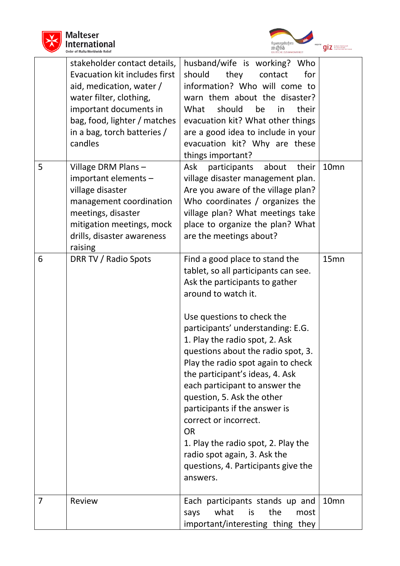



|   |                                                                                                                                                                                                                          | DEUTSCHE ZUSAMMENARBEIT                                                                                                                                                                                                                                                                                                                                                                                                                                                                                                                                                                                              |                  |
|---|--------------------------------------------------------------------------------------------------------------------------------------------------------------------------------------------------------------------------|----------------------------------------------------------------------------------------------------------------------------------------------------------------------------------------------------------------------------------------------------------------------------------------------------------------------------------------------------------------------------------------------------------------------------------------------------------------------------------------------------------------------------------------------------------------------------------------------------------------------|------------------|
|   | stakeholder contact details,<br>Evacuation kit includes first<br>aid, medication, water /<br>water filter, clothing,<br>important documents in<br>bag, food, lighter / matches<br>in a bag, torch batteries /<br>candles | husband/wife is working? Who<br>should<br>they<br>contact<br>for<br>information? Who will come to<br>warn them about the disaster?<br>should<br>What<br>be<br>their<br>in<br>evacuation kit? What other things<br>are a good idea to include in your<br>evacuation kit? Why are these<br>things important?                                                                                                                                                                                                                                                                                                           |                  |
| 5 | Village DRM Plans -<br>important elements -<br>village disaster<br>management coordination<br>meetings, disaster<br>mitigation meetings, mock<br>drills, disaster awareness<br>raising                                   | participants about<br>Ask<br>their<br>village disaster management plan.<br>Are you aware of the village plan?<br>Who coordinates / organizes the<br>village plan? What meetings take<br>place to organize the plan? What<br>are the meetings about?                                                                                                                                                                                                                                                                                                                                                                  | 10 <sub>mn</sub> |
| 6 | DRR TV / Radio Spots                                                                                                                                                                                                     | Find a good place to stand the<br>tablet, so all participants can see.<br>Ask the participants to gather<br>around to watch it.<br>Use questions to check the<br>participants' understanding: E.G.<br>1. Play the radio spot, 2. Ask<br>questions about the radio spot, 3.<br>Play the radio spot again to check<br>the participant's ideas, 4. Ask<br>each participant to answer the<br>question, 5. Ask the other<br>participants if the answer is<br>correct or incorrect.<br><b>OR</b><br>1. Play the radio spot, 2. Play the<br>radio spot again, 3. Ask the<br>questions, 4. Participants give the<br>answers. | 15mn             |
| 7 | Review                                                                                                                                                                                                                   | Each participants stands up and<br>what<br>is<br>the<br>says<br>most<br>important/interesting thing they                                                                                                                                                                                                                                                                                                                                                                                                                                                                                                             | 10 <sub>mn</sub> |
|   |                                                                                                                                                                                                                          |                                                                                                                                                                                                                                                                                                                                                                                                                                                                                                                                                                                                                      |                  |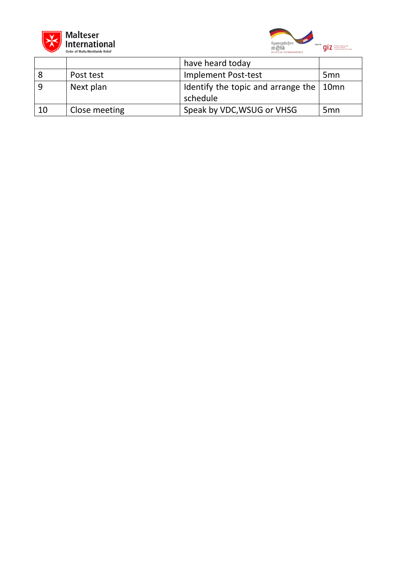



|    | Urder of Marta Worldwide Keller | DEUTSCHE ZUSAMMENARBEIT                                     |                 |
|----|---------------------------------|-------------------------------------------------------------|-----------------|
|    |                                 | have heard today                                            |                 |
|    | Post test                       | Implement Post-test                                         | 5 <sub>mn</sub> |
|    | Next plan                       | Identify the topic and arrange the $\vert$ 10mn<br>schedule |                 |
| 10 | Close meeting                   | Speak by VDC, WSUG or VHSG                                  | 5 <sub>mn</sub> |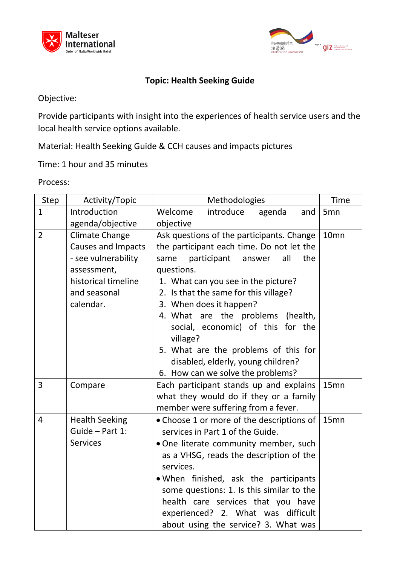



## **Topic: Health Seeking Guide**

Objective:

Provide participants with insight into the experiences of health service users and the local health service options available.

Material: Health Seeking Guide & CCH causes and impacts pictures

Time: 1 hour and 35 minutes

| Step           | Activity/Topic                                                                                                                        | Methodologies                                                                                                                                                                                                                                                                                                                                                                                                                                                           | <b>Time</b>      |
|----------------|---------------------------------------------------------------------------------------------------------------------------------------|-------------------------------------------------------------------------------------------------------------------------------------------------------------------------------------------------------------------------------------------------------------------------------------------------------------------------------------------------------------------------------------------------------------------------------------------------------------------------|------------------|
| $\mathbf{1}$   | Introduction<br>agenda/objective                                                                                                      | introduce<br>Welcome<br>agenda<br>and<br>objective                                                                                                                                                                                                                                                                                                                                                                                                                      | 5 <sub>mn</sub>  |
| $\overline{2}$ | Climate Change<br><b>Causes and Impacts</b><br>- see vulnerability<br>assessment,<br>historical timeline<br>and seasonal<br>calendar. | Ask questions of the participants. Change<br>the participant each time. Do not let the<br>participant<br>all<br>the<br>same<br>answer<br>questions.<br>1. What can you see in the picture?<br>2. Is that the same for this village?<br>3. When does it happen?<br>4. What are the problems (health,<br>social, economic) of this for the<br>village?<br>5. What are the problems of this for<br>disabled, elderly, young children?<br>6. How can we solve the problems? | 10 <sub>mn</sub> |
| 3              | Compare                                                                                                                               | Each participant stands up and explains<br>what they would do if they or a family<br>member were suffering from a fever.                                                                                                                                                                                                                                                                                                                                                | 15mn             |
| 4              | <b>Health Seeking</b><br>Guide - Part 1:<br><b>Services</b>                                                                           | • Choose 1 or more of the descriptions of<br>services in Part 1 of the Guide.<br>. One literate community member, such<br>as a VHSG, reads the description of the<br>services.<br>. When finished, ask the participants<br>some questions: 1. Is this similar to the<br>health care services that you have<br>experienced? 2. What was difficult<br>about using the service? 3. What was                                                                                | 15 <sub>mn</sub> |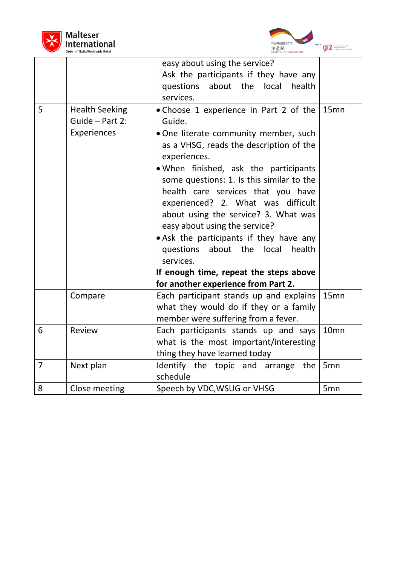



|                 |                                                         | easy about using the service?<br>Ask the participants if they have any<br>questions<br>about the local<br>health<br>services.                                                                                                                                                                                                                                                                                                                                                                                                                                                         |                  |
|-----------------|---------------------------------------------------------|---------------------------------------------------------------------------------------------------------------------------------------------------------------------------------------------------------------------------------------------------------------------------------------------------------------------------------------------------------------------------------------------------------------------------------------------------------------------------------------------------------------------------------------------------------------------------------------|------------------|
| 5               | <b>Health Seeking</b><br>Guide - Part 2:<br>Experiences | . Choose 1 experience in Part 2 of the<br>Guide.<br>. One literate community member, such<br>as a VHSG, reads the description of the<br>experiences.<br>. When finished, ask the participants<br>some questions: 1. Is this similar to the<br>health care services that you have<br>experienced? 2. What was difficult<br>about using the service? 3. What was<br>easy about using the service?<br>• Ask the participants if they have any<br>questions<br>about the<br>local<br>health<br>services.<br>If enough time, repeat the steps above<br>for another experience from Part 2. | 15mn             |
|                 | Compare                                                 | Each participant stands up and explains<br>what they would do if they or a family<br>member were suffering from a fever.                                                                                                                                                                                                                                                                                                                                                                                                                                                              | 15mn             |
| $6\phantom{1}6$ | Review                                                  | Each participants stands up and says<br>what is the most important/interesting<br>thing they have learned today                                                                                                                                                                                                                                                                                                                                                                                                                                                                       | 10 <sub>mn</sub> |
| $\overline{7}$  | Next plan                                               | Identify the topic and arrange the<br>schedule                                                                                                                                                                                                                                                                                                                                                                                                                                                                                                                                        | 5 <sub>mn</sub>  |
| 8               | Close meeting                                           | Speech by VDC, WSUG or VHSG                                                                                                                                                                                                                                                                                                                                                                                                                                                                                                                                                           | 5 <sub>mn</sub>  |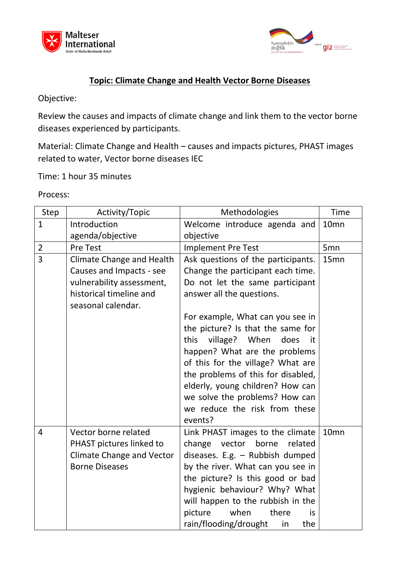



## **Topic: Climate Change and Health Vector Borne Diseases**

Objective:

Review the causes and impacts of climate change and link them to the vector borne diseases experienced by participants.

Material: Climate Change and Health – causes and impacts pictures, PHAST images related to water, Vector borne diseases IEC

Time: 1 hour 35 minutes

| <b>Step</b>    | Activity/Topic                   | Methodologies                        | <b>Time</b>      |
|----------------|----------------------------------|--------------------------------------|------------------|
| $\mathbf{1}$   | Introduction                     | Welcome introduce agenda and         | 10 <sub>mn</sub> |
|                | agenda/objective                 | objective                            |                  |
| $\overline{2}$ | <b>Pre Test</b>                  | Implement Pre Test                   | 5 <sub>mn</sub>  |
| 3              | <b>Climate Change and Health</b> | Ask questions of the participants.   | 15mn             |
|                | Causes and Impacts - see         | Change the participant each time.    |                  |
|                | vulnerability assessment,        | Do not let the same participant      |                  |
|                | historical timeline and          | answer all the questions.            |                  |
|                | seasonal calendar.               |                                      |                  |
|                |                                  | For example, What can you see in     |                  |
|                |                                  | the picture? Is that the same for    |                  |
|                |                                  | this<br>village? When<br>does<br>-it |                  |
|                |                                  | happen? What are the problems        |                  |
|                |                                  | of this for the village? What are    |                  |
|                |                                  | the problems of this for disabled,   |                  |
|                |                                  | elderly, young children? How can     |                  |
|                |                                  | we solve the problems? How can       |                  |
|                |                                  | we reduce the risk from these        |                  |
|                |                                  | events?                              |                  |
| 4              | Vector borne related             | Link PHAST images to the climate     | 10 <sub>mn</sub> |
|                | PHAST pictures linked to         | change<br>vector borne<br>related    |                  |
|                | <b>Climate Change and Vector</b> | diseases. E.g. - Rubbish dumped      |                  |
|                | <b>Borne Diseases</b>            | by the river. What can you see in    |                  |
|                |                                  | the picture? Is this good or bad     |                  |
|                |                                  | hygienic behaviour? Why? What        |                  |
|                |                                  | will happen to the rubbish in the    |                  |
|                |                                  | picture<br>when<br>there<br>is       |                  |
|                |                                  | rain/flooding/drought<br>the<br>in   |                  |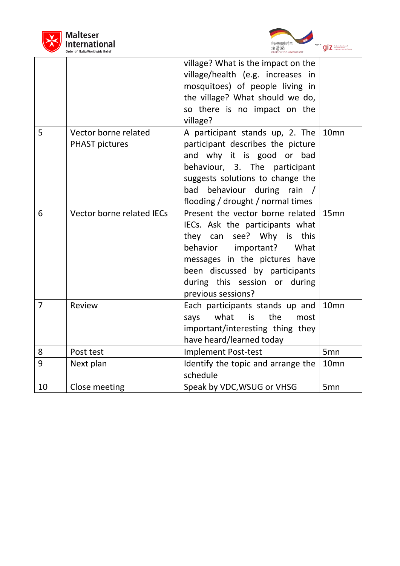



|                |                                               | DEUTSCHE ZUSAMMENARBEIT                                                                                                                                                                                                                                   |                  |
|----------------|-----------------------------------------------|-----------------------------------------------------------------------------------------------------------------------------------------------------------------------------------------------------------------------------------------------------------|------------------|
|                |                                               | village? What is the impact on the<br>village/health (e.g. increases in<br>mosquitoes) of people living in<br>the village? What should we do,<br>so there is no impact on the<br>village?                                                                 |                  |
| 5              | Vector borne related<br><b>PHAST pictures</b> | A participant stands up, 2. The<br>participant describes the picture<br>and why it is good or bad<br>behaviour, 3. The participant<br>suggests solutions to change the<br>behaviour during rain /<br>bad<br>flooding / drought / normal times             | 10 <sub>mn</sub> |
| 6              | Vector borne related IECs                     | Present the vector borne related<br>IECs. Ask the participants what<br>they can see? Why is this<br>behavior important?<br>What<br>messages in the pictures have<br>been discussed by participants<br>during this session or during<br>previous sessions? | 15 <sub>mn</sub> |
| $\overline{7}$ | Review                                        | Each participants stands up and<br>what<br>the<br>says<br><i>is</i><br>most<br>important/interesting thing they<br>have heard/learned today                                                                                                               | 10 <sub>mn</sub> |
| 8              | Post test                                     | <b>Implement Post-test</b>                                                                                                                                                                                                                                | 5 <sub>mn</sub>  |
| 9              | Next plan                                     | Identify the topic and arrange the<br>schedule                                                                                                                                                                                                            | 10 <sub>mn</sub> |
| 10             | Close meeting                                 | Speak by VDC, WSUG or VHSG                                                                                                                                                                                                                                | 5mn              |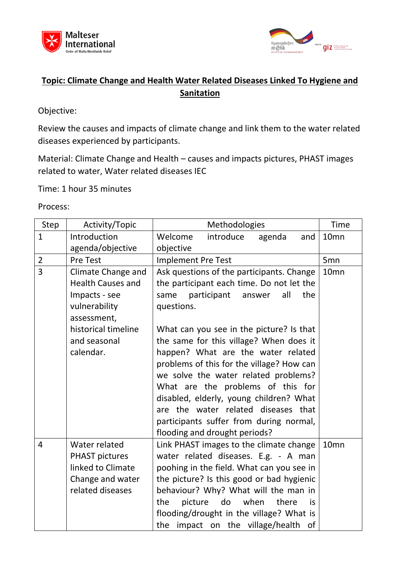



# **Topic: Climate Change and Health Water Related Diseases Linked To Hygiene and Sanitation**

Objective:

Review the causes and impacts of climate change and link them to the water related diseases experienced by participants.

Material: Climate Change and Health – causes and impacts pictures, PHAST images related to water, Water related diseases IEC

Time: 1 hour 35 minutes

| Step           | Activity/Topic                                                                                                                                      | Methodologies                                                                                                                                                                                                                                                                                                                                                                                                                                                                                                                                                            | <b>Time</b>      |
|----------------|-----------------------------------------------------------------------------------------------------------------------------------------------------|--------------------------------------------------------------------------------------------------------------------------------------------------------------------------------------------------------------------------------------------------------------------------------------------------------------------------------------------------------------------------------------------------------------------------------------------------------------------------------------------------------------------------------------------------------------------------|------------------|
| $\mathbf{1}$   | Introduction                                                                                                                                        | Welcome<br>introduce<br>agenda<br>and                                                                                                                                                                                                                                                                                                                                                                                                                                                                                                                                    | 10 <sub>mn</sub> |
|                | agenda/objective                                                                                                                                    | objective                                                                                                                                                                                                                                                                                                                                                                                                                                                                                                                                                                |                  |
| $\overline{2}$ | <b>Pre Test</b>                                                                                                                                     | Implement Pre Test                                                                                                                                                                                                                                                                                                                                                                                                                                                                                                                                                       | 5 <sub>mn</sub>  |
| $\overline{3}$ | Climate Change and<br><b>Health Causes and</b><br>Impacts - see<br>vulnerability<br>assessment,<br>historical timeline<br>and seasonal<br>calendar. | Ask questions of the participants. Change<br>the participant each time. Do not let the<br>all<br>participant<br>the<br>same<br>answer<br>questions.<br>What can you see in the picture? Is that<br>the same for this village? When does it<br>happen? What are the water related<br>problems of this for the village? How can<br>we solve the water related problems?<br>What are the problems of this for<br>disabled, elderly, young children? What<br>are the water related diseases that<br>participants suffer from during normal,<br>flooding and drought periods? | 10 <sub>mn</sub> |
| 4              | Water related<br><b>PHAST pictures</b><br>linked to Climate<br>Change and water<br>related diseases                                                 | Link PHAST images to the climate change<br>water related diseases. E.g. - A man<br>poohing in the field. What can you see in<br>the picture? Is this good or bad hygienic<br>behaviour? Why? What will the man in<br>picture<br>do<br>when<br>the<br>there<br>is<br>flooding/drought in the village? What is<br>the impact on the village/health<br>of                                                                                                                                                                                                                   | 10 <sub>mn</sub> |